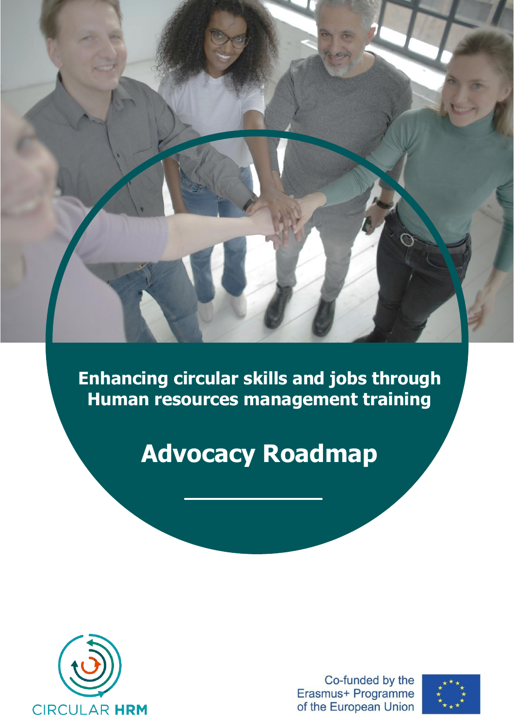**Enhancing circular skills and jobs through Human resources management training**

# **Advocacy Roadmap**



Co-funded by the Erasmus+ Programme of the European Union

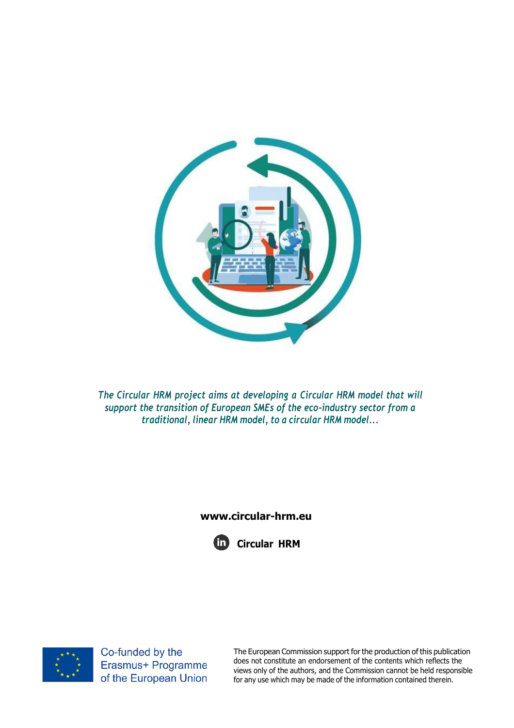

*The Circular HRM project aims at developing a Circular HRM model that will support the transition of European SMEs of the eco-industry sector from a traditional, linear HRM model, to a circular HRM model...*

### **[www.circular-hrm.eu](http://www.circular-hrm.eu/)**





Co-funded by the Erasmus+ Programme of the European Union

The European Commission support forthe production of this publication does not constitute an endorsement of the contents which reflects the views only of the authors, and the Commission cannot be held responsible for any use which may be made of the information contained therein.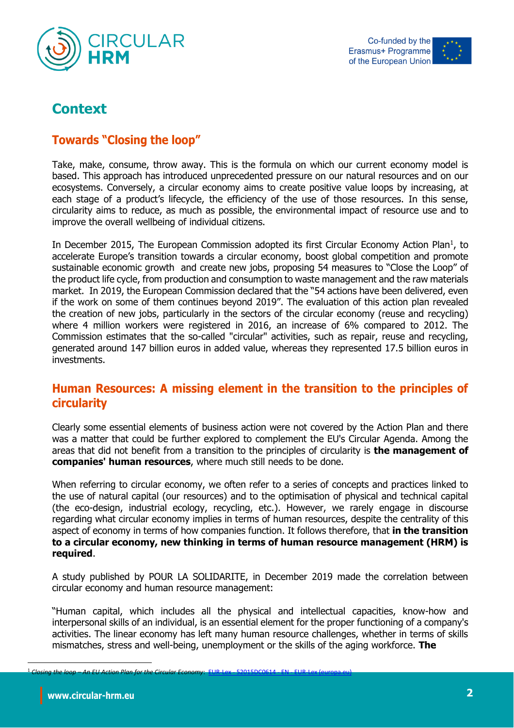



# **Context**

# **Towards "Closing the loop"**

Take, make, consume, throw away. This is the formula on which our current economy model is based. This approach has introduced unprecedented pressure on our natural resources and on our ecosystems. Conversely, a circular economy aims to create positive value loops by increasing, at each stage of a product's lifecycle, the efficiency of the use of those resources. In this sense, circularity aims to reduce, as much as possible, the environmental impact of resource use and to improve the overall wellbeing of individual citizens.

In December 2015, The European Commission adopted its first Circular Economy Action Plan<sup>1</sup>, to accelerate Europe's transition towards a circular economy, boost global competition and promote sustainable economic growth and create new jobs, proposing 54 measures to "Close the Loop" of the product life cycle, from production and consumption to waste management and the raw materials market. In 2019, the European Commission declared that the "54 actions have been delivered, even if the work on some of them continues beyond 2019". The evaluation of this action plan revealed the creation of new jobs, particularly in the sectors of the circular economy (reuse and recycling) where 4 million workers were registered in 2016, an increase of 6% compared to 2012. The Commission estimates that the so-called "circular" activities, such as repair, reuse and recycling, generated around 147 billion euros in added value, whereas they represented 17.5 billion euros in investments.

## **Human Resources: A missing element in the transition to the principles of circularity**

Clearly some essential elements of business action were not covered by the Action Plan and there was a matter that could be further explored to complement the EU's Circular Agenda. Among the areas that did not benefit from a transition to the principles of circularity is **the management of companies' human resources**, where much still needs to be done.

When referring to circular economy, we often refer to a series of concepts and practices linked to the use of natural capital (our resources) and to the optimisation of physical and technical capital (the eco-design, industrial ecology, recycling, etc.). However, we rarely engage in discourse regarding what circular economy implies in terms of human resources, despite the centrality of this aspect of economy in terms of how companies function. It follows therefore, that **in the transition to a circular economy, new thinking in terms of human resource management (HRM) is required**.

A study published by POUR LA SOLIDARITE, in December 2019 made the correlation between circular economy and human resource management:

"Human capital, which includes all the physical and intellectual capacities, know-how and interpersonal skills of an individual, is an essential element for the proper functioning of a company's activities. The linear economy has left many human resource challenges, whether in terms of skills mismatches, stress and well-being, unemployment or the skills of the aging workforce. **The** 

<sup>1</sup> *Closing the loop – An EU Action Plan for the Circular Economy*: EUR-Lex - 52015DC0614 - EN - [EUR-Lex \(europa.eu\)](https://eur-lex.europa.eu/legal-content/EN/TXT/?uri=CELEX:52015DC0614)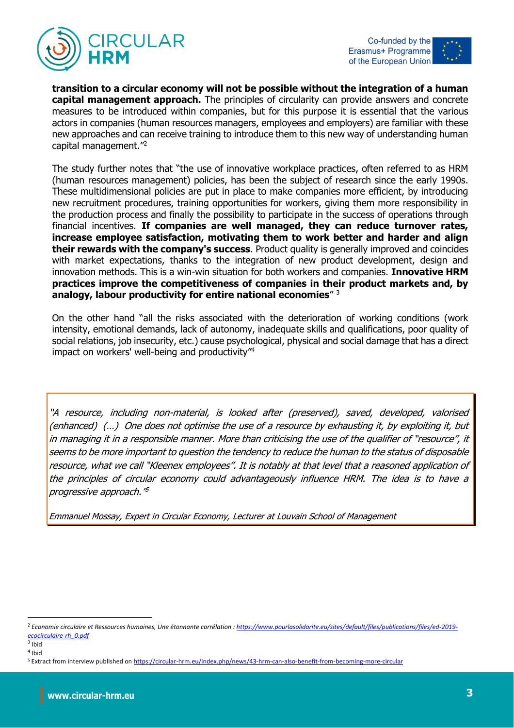



**transition to a circular economy will not be possible without the integration of a human capital management approach.** The principles of circularity can provide answers and concrete measures to be introduced within companies, but for this purpose it is essential that the various actors in companies (human resources managers, employees and employers) are familiar with these new approaches and can receive training to introduce them to this new way of understanding human capital management."<sup>2</sup>

The study further notes that "the use of innovative workplace practices, often referred to as HRM (human resources management) policies, has been the subject of research since the early 1990s. These multidimensional policies are put in place to make companies more efficient, by introducing new recruitment procedures, training opportunities for workers, giving them more responsibility in the production process and finally the possibility to participate in the success of operations through financial incentives. **If companies are well managed, they can reduce turnover rates, increase employee satisfaction, motivating them to work better and harder and align their rewards with the company's success**. Product quality is generally improved and coincides with market expectations, thanks to the integration of new product development, design and innovation methods. This is a win-win situation for both workers and companies. **Innovative HRM practices improve the competitiveness of companies in their product markets and, by analogy, labour productivity for entire national economies**" <sup>3</sup>

On the other hand "all the risks associated with the deterioration of working conditions (work intensity, emotional demands, lack of autonomy, inadequate skills and qualifications, poor quality of social relations, job insecurity, etc.) cause psychological, physical and social damage that has a direct impact on workers' well-being and productivity"<sup>4</sup>

"A resource, including non-material, is looked after (preserved), saved, developed, valorised (enhanced) (…) One does not optimise the use of a resource by exhausting it, by exploiting it, but in managing it in a responsible manner. More than criticising the use of the qualifier of "resource", it seems to be more important to question the tendency to reduce the human to the status of disposable resource, what we call "Kleenex employees". It is notably at that level that a reasoned application of the principles of circular economy could advantageously influence HRM. The idea is to have a progressive approach." 5

Emmanuel Mossay, Expert in Circular Economy, Lecturer at Louvain School of Management

<sup>2</sup> *Economie circulaire et Ressources humaines, Une étonnante corrélation : [https://www.pourlasolidarite.eu/sites/default/files/publications/files/ed-2019](https://www.pourlasolidarite.eu/sites/default/files/publications/files/ed-2019-ecocirculaire-rh_0.pdf) [ecocirculaire-rh\\_0.pdf](https://www.pourlasolidarite.eu/sites/default/files/publications/files/ed-2019-ecocirculaire-rh_0.pdf)*

<sup>&</sup>lt;sup>3</sup> Ibid 4 Ibid

<sup>5</sup> Extract from interview published on<https://circular-hrm.eu/index.php/news/43-hrm-can-also-benefit-from-becoming-more-circular>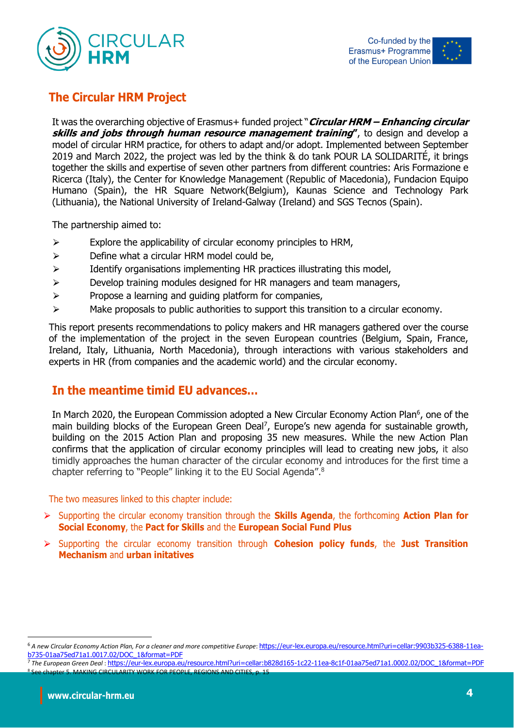



# **The Circular HRM Project**

It was the overarching objective of Erasmus+ funded project "**Circular HRM – Enhancing circular skills and jobs through human resource management training"**, to design and develop a model of circular HRM practice, for others to adapt and/or adopt. Implemented between September 2019 and March 2022, the project was led by the think & do tank POUR LA SOLIDARITÉ, it brings together the skills and expertise of seven other partners from different countries: Aris Formazione e Ricerca (Italy), the Center for Knowledge Management (Republic of Macedonia), Fundacion Equipo Humano (Spain), the HR Square Network(Belgium), Kaunas Science and Technology Park (Lithuania), the National University of Ireland-Galway (Ireland) and SGS Tecnos (Spain).

The partnership aimed to:

- $\triangleright$  Explore the applicability of circular economy principles to HRM,
- $\triangleright$  Define what a circular HRM model could be,
- $\triangleright$  Identify organisations implementing HR practices illustrating this model,
- $\triangleright$  Develop training modules designed for HR managers and team managers,
- $\triangleright$  Propose a learning and quiding platform for companies,
- $\triangleright$  Make proposals to public authorities to support this transition to a circular economy.

This report presents recommendations to policy makers and HR managers gathered over the course of the implementation of the project in the seven European countries (Belgium, Spain, France, Ireland, Italy, Lithuania, North Macedonia), through interactions with various stakeholders and experts in HR (from companies and the academic world) and the circular economy.

## **In the meantime timid EU advances…**

In March 2020, the European Commission adopted a New Circular Economy Action Plan<sup>6</sup>, one of the main building blocks of the European Green Deal<sup>7</sup>, Europe's new agenda for sustainable growth, building on the 2015 Action Plan and proposing 35 new measures. While the new Action Plan confirms that the application of circular economy principles will lead to creating new jobs, it also timidly approaches the human character of the circular economy and introduces for the first time a chapter referring to "People" linking it to the EU Social Agenda".<sup>8</sup>

The two measures linked to this chapter include:

- ⮚ Supporting the circular economy transition through the **Skills Agenda**, the forthcoming **Action Plan for Social Economy**, the **Pact for Skills** and the **European Social Fund Plus**
- ⮚ Supporting the circular economy transition through **Cohesion policy funds**, the **Just Transition Mechanism** and **urban initatives**

<sup>&</sup>lt;sup>6</sup> A new Circular Economy Action Plan, For a cleaner and more competitive Europe: [https://eur-lex.europa.eu/resource.html?uri=cellar:9903b325-6388-11ea](https://eur-lex.europa.eu/resource.html?uri=cellar:9903b325-6388-11ea-b735-01aa75ed71a1.0017.02/DOC_1&format=PDF)[b735-01aa75ed71a1.0017.02/DOC\\_1&format=PDF](https://eur-lex.europa.eu/resource.html?uri=cellar:9903b325-6388-11ea-b735-01aa75ed71a1.0017.02/DOC_1&format=PDF)

<sup>7</sup> *The European Green Deal* : [https://eur-lex.europa.eu/resource.html?uri=cellar:b828d165-1c22-11ea-8c1f-01aa75ed71a1.0002.02/DOC\\_1&format=PDF](https://eur-lex.europa.eu/resource.html?uri=cellar:b828d165-1c22-11ea-8c1f-01aa75ed71a1.0002.02/DOC_1&format=PDF) **SCHLARITY WORK FOR PEOPLE, REGIONS**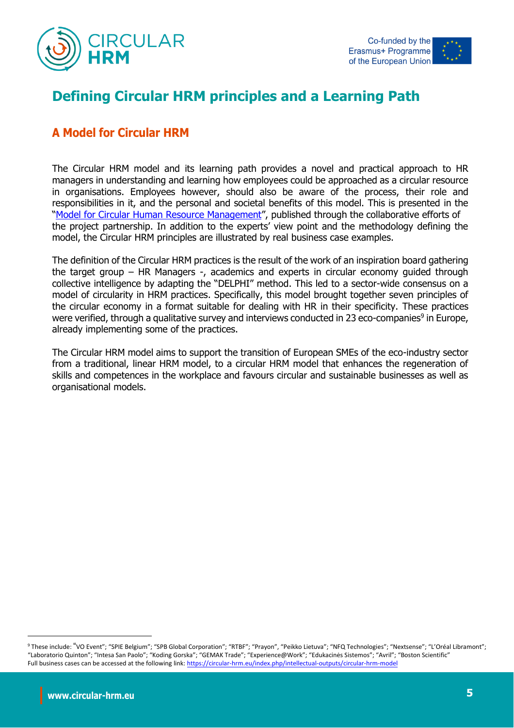



# **Defining Circular HRM principles and a Learning Path**

# **A Model for Circular HRM**

The Circular HRM model and its learning path provides a novel and practical approach to HR managers in understanding and learning how employees could be approached as a circular resource in organisations. Employees however, should also be aware of the process, their role and responsibilities in it, and the personal and societal benefits of this model. This is presented in the "[Model for Circular Human Resource Management](https://circular-hrm.eu/images/documents/io1/EN_CircularHRM_IO1.pdf)", published through the collaborative efforts of the project partnership. In addition to the experts' view point and the methodology defining the model, the Circular HRM principles are illustrated by real business case examples.

The definition of the Circular HRM practices is the result of the work of an inspiration board gathering the target group – HR Managers -, academics and experts in circular economy guided through collective intelligence by adapting the "DELPHI" method. This led to a sector-wide consensus on a model of circularity in HRM practices. Specifically, this model brought together seven principles of the circular economy in a format suitable for dealing with HR in their specificity. These practices were verified, through a qualitative survey and interviews conducted in 23 eco-companies<sup>9</sup> in Europe, already implementing some of the practices.

The Circular HRM model aims to support the transition of European SMEs of the eco-industry sector from a traditional, linear HRM model, to a circular HRM model that enhances the regeneration of skills and competences in the workplace and favours circular and sustainable businesses as well as organisational models.

<sup>9</sup> These include: "VO Event"; "SPIE Belgium"; "SPB Global Corporation"; "RTBF"; "Prayon", "Peikko Lietuva"; "NFQ Technologies"; "Nextsense"; "L'Oréal Libramont"; "Laboratorio Quinton"; "Intesa San Paolo"; "Koding Gorska"; "GEMAK Trade"; "Experience@Work"; "Edukacinės Sistemos"; "Avril"; "Boston Scientific" Full business cases can be accessed at the following link[: https://circular-hrm.eu/index.php/intellectual-outputs/circular-hrm-model](https://circular-hrm.eu/index.php/intellectual-outputs/circular-hrm-model)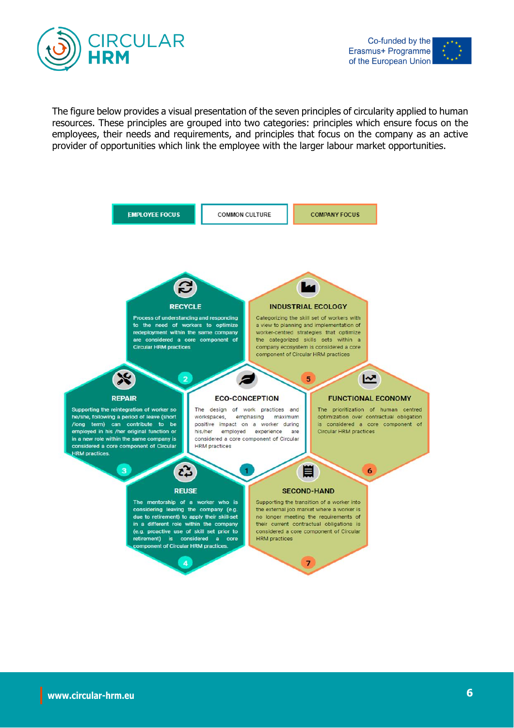



The figure below provides a visual presentation of the seven principles of circularity applied to human resources. These principles are grouped into two categories: principles which ensure focus on the employees, their needs and requirements, and principles that focus on the company as an active provider of opportunities which link the employee with the larger labour market opportunities.

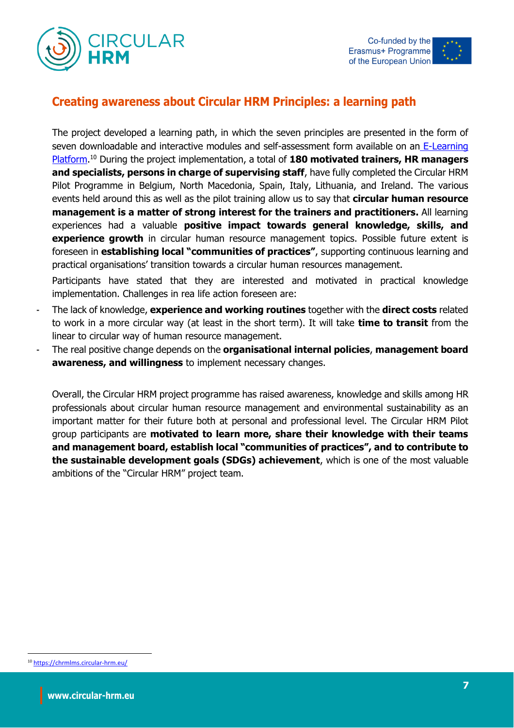



## **Creating awareness about Circular HRM Principles: a learning path**

The project developed a learning path, in which the seven principles are presented in the form of seven downloadable and interactive modules and self-assessment form available on an E-Learning [Platform.](https://chrmlms.circular-hrm.eu/) <sup>10</sup> During the project implementation, a total of **180 motivated trainers, HR managers and specialists, persons in charge of supervising staff**, have fully completed the Circular HRM Pilot Programme in Belgium, North Macedonia, Spain, Italy, Lithuania, and Ireland. The various events held around this as well as the pilot training allow us to say that **circular human resource management is a matter of strong interest for the trainers and practitioners.** All learning experiences had a valuable **positive impact towards general knowledge, skills, and experience growth** in circular human resource management topics. Possible future extent is foreseen in **establishing local "communities of practices"**, supporting continuous learning and practical organisations' transition towards a circular human resources management.

Participants have stated that they are interested and motivated in practical knowledge implementation. Challenges in rea life action foreseen are:

- The lack of knowledge, **experience and working routines** together with the **direct costs** related to work in a more circular way (at least in the short term). It will take **time to transit** from the linear to circular way of human resource management.
- The real positive change depends on the **organisational internal policies**, **management board awareness, and willingness** to implement necessary changes.

Overall, the Circular HRM project programme has raised awareness, knowledge and skills among HR professionals about circular human resource management and environmental sustainability as an important matter for their future both at personal and professional level. The Circular HRM Pilot group participants are **motivated to learn more, share their knowledge with their teams and management board, establish local "communities of practices", and to contribute to the sustainable development goals (SDGs) achievement**, which is one of the most valuable ambitions of the "Circular HRM" project team.

<sup>10</sup> <https://chrmlms.circular-hrm.eu/>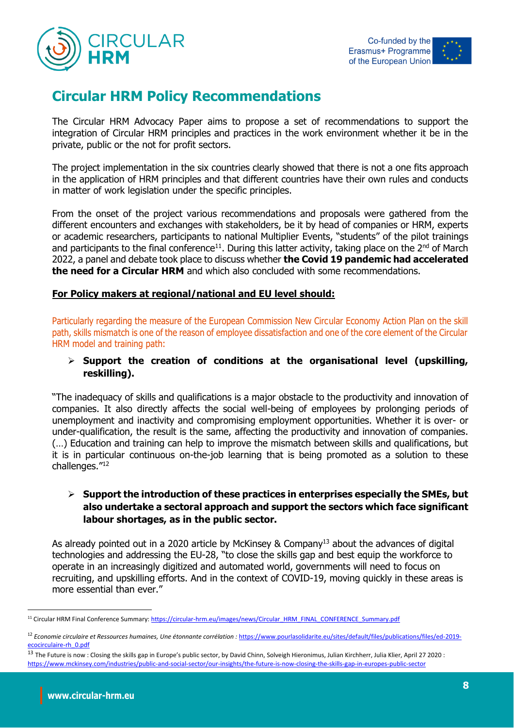



# **Circular HRM Policy Recommendations**

The Circular HRM Advocacy Paper aims to propose a set of recommendations to support the integration of Circular HRM principles and practices in the work environment whether it be in the private, public or the not for profit sectors.

The project implementation in the six countries clearly showed that there is not a one fits approach in the application of HRM principles and that different countries have their own rules and conducts in matter of work legislation under the specific principles.

From the onset of the project various recommendations and proposals were gathered from the different encounters and exchanges with stakeholders, be it by head of companies or HRM, experts or academic researchers, participants to national Multiplier Events, "students" of the pilot trainings and participants to the final conference<sup>11</sup>. During this latter activity, taking place on the  $2^{nd}$  of March 2022, a panel and debate took place to discuss whether **the Covid 19 pandemic had accelerated the need for a Circular HRM** and which also concluded with some recommendations.

#### **For Policy makers at regional/national and EU level should:**

Particularly regarding the measure of the European Commission New Circular Economy Action Plan on the skill path, skills mismatch is one of the reason of employee dissatisfaction and one of the core element of the Circular HRM model and training path:

#### ➢ **Support the creation of conditions at the organisational level (upskilling, reskilling).**

"The inadequacy of skills and qualifications is a major obstacle to the productivity and innovation of companies. It also directly affects the social well-being of employees by prolonging periods of unemployment and inactivity and compromising employment opportunities. Whether it is over- or under-qualification, the result is the same, affecting the productivity and innovation of companies. (…) Education and training can help to improve the mismatch between skills and qualifications, but it is in particular continuous on-the-job learning that is being promoted as a solution to these challenges."<sup>12</sup>

#### ➢ **Support the introduction of these practices in enterprises especially the SMEs, but also undertake a sectoral approach and support the sectors which face significant labour shortages, as in the public sector.**

As already pointed out in a 2020 article by McKinsey & Company<sup>13</sup> about the advances of digital technologies and addressing the EU-28, "to close the skills gap and best equip the workforce to operate in an increasingly digitized and automated world, governments will need to focus on recruiting, and upskilling efforts. And in the context of COVID-19, moving quickly in these areas is more essential than ever."

<sup>&</sup>lt;sup>11</sup> Circular HRM Final Conference Summary[: https://circular-hrm.eu/images/news/Circular\\_HRM\\_FINAL\\_CONFERENCE\\_Summary.pdf](https://circular-hrm.eu/images/news/Circular_HRM_FINAL_CONFERENCE_Summary.pdf)

<sup>&</sup>lt;sup>12</sup> Economie circulaire et Ressources humaines, Une étonnante corrélation : [https://www.pourlasolidarite.eu/sites/default/files/publications/files/ed-2019](https://www.pourlasolidarite.eu/sites/default/files/publications/files/ed-2019-ecocirculaire-rh_0.pdf) [ecocirculaire-rh\\_0.pdf](https://www.pourlasolidarite.eu/sites/default/files/publications/files/ed-2019-ecocirculaire-rh_0.pdf)

<sup>&</sup>lt;sup>13</sup> The Future is now : Closing the skills gap in Europe's public sector, by David Chinn, Solveigh Hieronimus, Julian Kirchherr, Julia Klier, April 27 2020 : <https://www.mckinsey.com/industries/public-and-social-sector/our-insights/the-future-is-now-closing-the-skills-gap-in-europes-public-sector>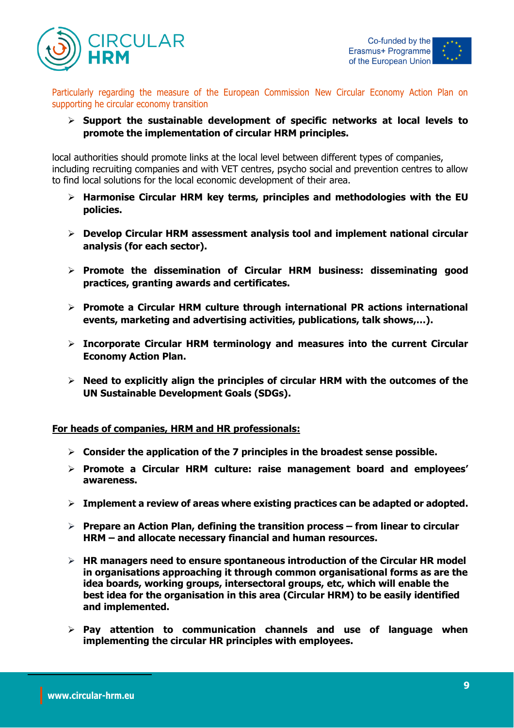



Particularly regarding the measure of the European Commission New Circular Economy Action Plan on supporting he circular economy transition

➢ **Support the sustainable development of specific networks at local levels to promote the implementation of circular HRM principles.**

local authorities should promote links at the local level between different types of companies, including recruiting companies and with VET centres, psycho social and prevention centres to allow to find local solutions for the local economic development of their area.

- ➢ **Harmonise Circular HRM key terms, principles and methodologies with the EU policies.**
- ➢ **Develop Circular HRM assessment analysis tool and implement national circular analysis (for each sector).**
- ➢ **Promote the dissemination of Circular HRM business: disseminating good practices, granting awards and certificates.**
- ➢ **Promote a Circular HRM culture through international PR actions international events, marketing and advertising activities, publications, talk shows,…).**
- ➢ **Incorporate Circular HRM terminology and measures into the current Circular Economy Action Plan.**
- ➢ **Need to explicitly align the principles of circular HRM with the outcomes of the UN Sustainable Development Goals (SDGs).**

**For heads of companies, HRM and HR professionals:**

- ➢ **Consider the application of the 7 principles in the broadest sense possible.**
- ➢ **Promote a Circular HRM culture: raise management board and employees' awareness.**
- ➢ **Implement a review of areas where existing practices can be adapted or adopted.**
- ➢ **Prepare an Action Plan, defining the transition process – from linear to circular HRM – and allocate necessary financial and human resources.**
- ➢ **HR managers need to ensure spontaneous introduction of the Circular HR model in organisations approaching it through common organisational forms as are the idea boards, working groups, intersectoral groups, etc, which will enable the best idea for the organisation in this area (Circular HRM) to be easily identified and implemented.**
- ➢ **Pay attention to communication channels and use of language when implementing the circular HR principles with employees.**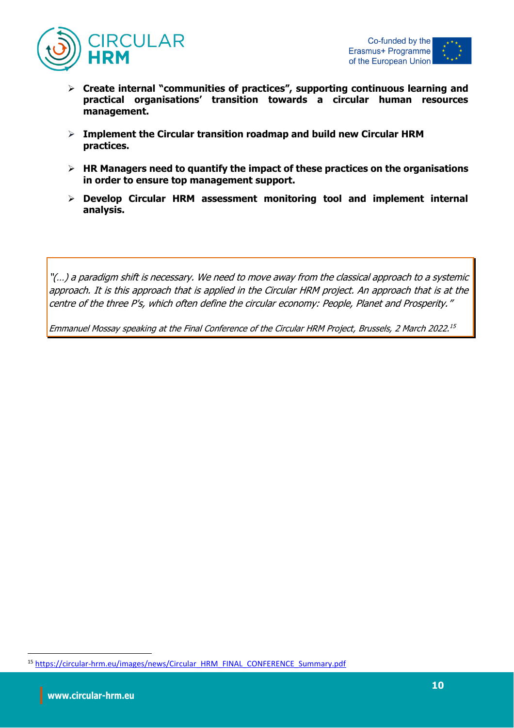



- ➢ **Create internal "communities of practices", supporting continuous learning and practical organisations' transition towards a circular human resources management.**
- ➢ **Implement the Circular transition roadmap and build new Circular HRM practices.**
- ➢ **HR Managers need to quantify the impact of these practices on the organisations in order to ensure top management support.**
- ➢ **Develop Circular HRM assessment monitoring tool and implement internal analysis.**

"(…) a paradigm shift is necessary. We need to move away from the classical approach to a systemic approach. It is this approach that is applied in the Circular HRM project. An approach that is at the centre of the three P's, which often define the circular economy: People, Planet and Prosperity."

Emmanuel Mossay speaking at the Final Conference of the Circular HRM Project, Brussels, 2 March 2022. 15

<sup>15</sup> [https://circular-hrm.eu/images/news/Circular\\_HRM\\_FINAL\\_CONFERENCE\\_Summary.pdf](https://circular-hrm.eu/images/news/Circular_HRM_FINAL_CONFERENCE_Summary.pdf)